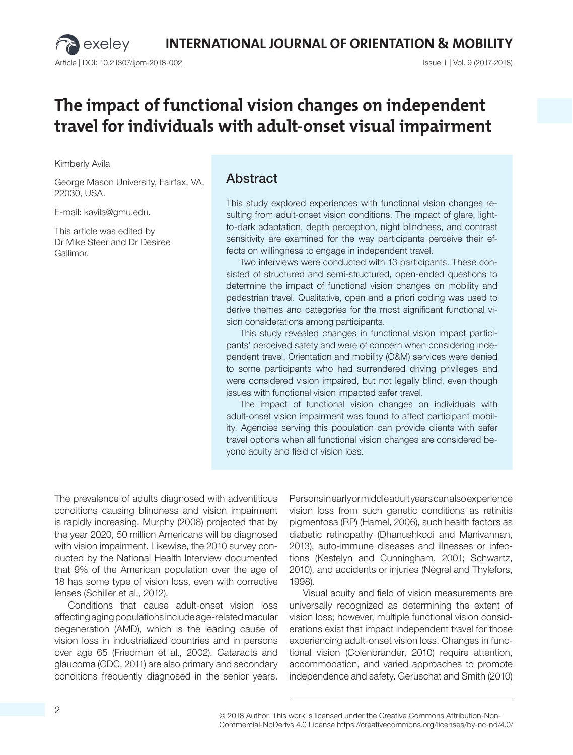Article | DOI: 10.21307/ijom-2018-002 Issue 1 | Vol. 9 (2017-2018)

exeley

# **The impact of functional vision changes on independent travel for individuals with adult-onset visual impairment**

Kimberly Avila

George Mason University, Fairfax, VA, 22030, USA.

E-mail: kavila@gmu.edu.

This article was edited by Dr Mike Steer and Dr Desiree Gallimor.

#### Abstract

This study explored experiences with functional vision changes resulting from adult-onset vision conditions. The impact of glare, lightto-dark adaptation, depth perception, night blindness, and contrast sensitivity are examined for the way participants perceive their effects on willingness to engage in independent travel.

Two interviews were conducted with 13 participants. These consisted of structured and semi-structured, open-ended questions to determine the impact of functional vision changes on mobility and pedestrian travel. Qualitative, open and a priori coding was used to derive themes and categories for the most significant functional vision considerations among participants.

This study revealed changes in functional vision impact participants' perceived safety and were of concern when considering independent travel. Orientation and mobility (O&M) services were denied to some participants who had surrendered driving privileges and were considered vision impaired, but not legally blind, even though issues with functional vision impacted safer travel.

The impact of functional vision changes on individuals with adult-onset vision impairment was found to affect participant mobility. Agencies serving this population can provide clients with safer travel options when all functional vision changes are considered beyond acuity and field of vision loss.

The prevalence of adults diagnosed with adventitious conditions causing blindness and vision impairment is rapidly increasing. Murphy (2008) projected that by the year 2020, 50 million Americans will be diagnosed with vision impairment. Likewise, the 2010 survey conducted by the National Health Interview documented that 9% of the American population over the age of 18 has some type of vision loss, even with corrective lenses (Schiller et al., 2012).

Conditions that cause adult-onset vision loss affecting aging populations include age-related macular degeneration (AMD), which is the leading cause of vision loss in industrialized countries and in persons over age 65 (Friedman et al., 2002). Cataracts and glaucoma (CDC, 2011) are also primary and secondary conditions frequently diagnosed in the senior years.

Persons in early or middle adult years can also experience vision loss from such genetic conditions as retinitis pigmentosa (RP) (Hamel, 2006), such health factors as diabetic retinopathy (Dhanushkodi and Manivannan, 2013), auto-immune diseases and illnesses or infections (Kestelyn and Cunningham, 2001; Schwartz, 2010), and accidents or injuries (Négrel and Thylefors, 1998).

Visual acuity and field of vision measurements are universally recognized as determining the extent of vision loss; however, multiple functional vision considerations exist that impact independent travel for those experiencing adult-onset vision loss. Changes in functional vision (Colenbrander, 2010) require attention, accommodation, and varied approaches to promote independence and safety. Geruschat and Smith (2010)

© 2018 Author. This work is licensed under the Creative Commons Attribution-Non-Commercial-NoDerivs 4.0 License https://creativecommons.org/licenses/by-nc-nd/4.0/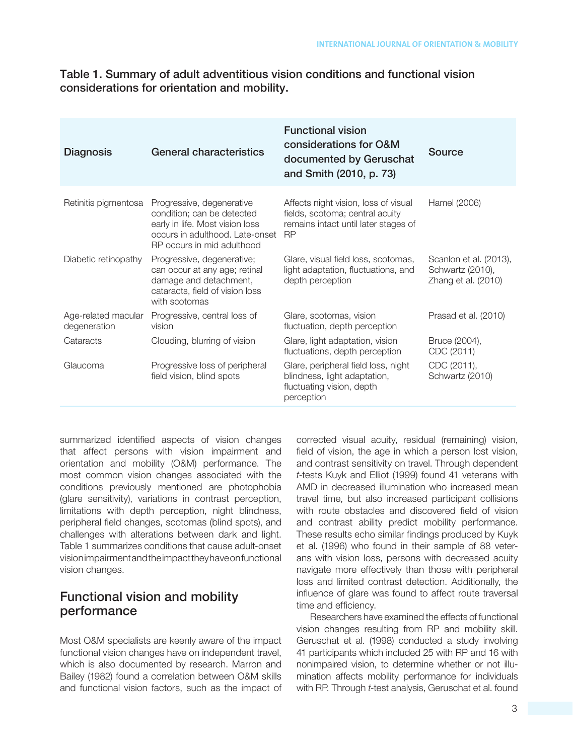## Table 1. Summary of adult adventitious vision conditions and functional vision considerations for orientation and mobility.

| <b>Diagnosis</b>                    | <b>General characteristics</b>                                                                                                                              | <b>Functional vision</b><br>considerations for O&M<br>documented by Geruschat<br>and Smith (2010, p. 73)                     | <b>Source</b>                                                     |
|-------------------------------------|-------------------------------------------------------------------------------------------------------------------------------------------------------------|------------------------------------------------------------------------------------------------------------------------------|-------------------------------------------------------------------|
| Retinitis pigmentosa                | Progressive, degenerative<br>condition; can be detected<br>early in life. Most vision loss<br>occurs in adulthood. Late-onset<br>RP occurs in mid adulthood | Affects night vision, loss of visual<br>fields, scotoma; central acuity<br>remains intact until later stages of<br><b>RP</b> | Hamel (2006)                                                      |
| Diabetic retinopathy                | Progressive, degenerative;<br>can occur at any age; retinal<br>damage and detachment,<br>cataracts, field of vision loss<br>with scotomas                   | Glare, visual field loss, scotomas,<br>light adaptation, fluctuations, and<br>depth perception                               | Scanlon et al. (2013),<br>Schwartz (2010),<br>Zhang et al. (2010) |
| Age-related macular<br>degeneration | Progressive, central loss of<br>vision                                                                                                                      | Glare, scotomas, vision<br>fluctuation, depth perception                                                                     | Prasad et al. (2010)                                              |
| Cataracts                           | Clouding, blurring of vision                                                                                                                                | Glare, light adaptation, vision<br>fluctuations, depth perception                                                            | Bruce (2004),<br>CDC (2011)                                       |
| Glaucoma                            | Progressive loss of peripheral<br>field vision, blind spots                                                                                                 | Glare, peripheral field loss, night<br>blindness, light adaptation,<br>fluctuating vision, depth<br>perception               | CDC (2011),<br>Schwartz (2010)                                    |

summarized identified aspects of vision changes that affect persons with vision impairment and orientation and mobility (O&M) performance. The most common vision changes associated with the conditions previously mentioned are photophobia (glare sensitivity), variations in contrast perception, limitations with depth perception, night blindness, peripheral field changes, scotomas (blind spots), and challenges with alterations between dark and light. Table 1 summarizes conditions that cause adult-onset vision impairment and the impact they have on functional vision changes.

# Functional vision and mobility performance

Most O&M specialists are keenly aware of the impact functional vision changes have on independent travel, which is also documented by research. Marron and Bailey (1982) found a correlation between O&M skills and functional vision factors, such as the impact of corrected visual acuity, residual (remaining) vision, field of vision, the age in which a person lost vision, and contrast sensitivity on travel. Through dependent *t*-tests Kuyk and Elliot (1999) found 41 veterans with AMD in decreased illumination who increased mean travel time, but also increased participant collisions with route obstacles and discovered field of vision and contrast ability predict mobility performance. These results echo similar findings produced by Kuyk et al. (1996) who found in their sample of 88 veterans with vision loss, persons with decreased acuity navigate more effectively than those with peripheral loss and limited contrast detection. Additionally, the influence of glare was found to affect route traversal time and efficiency.

Researchers have examined the effects of functional vision changes resulting from RP and mobility skill. Geruschat et al. (1998) conducted a study involving 41 participants which included 25 with RP and 16 with nonimpaired vision, to determine whether or not illumination affects mobility performance for individuals with RP. Through *t*-test analysis, Geruschat et al. found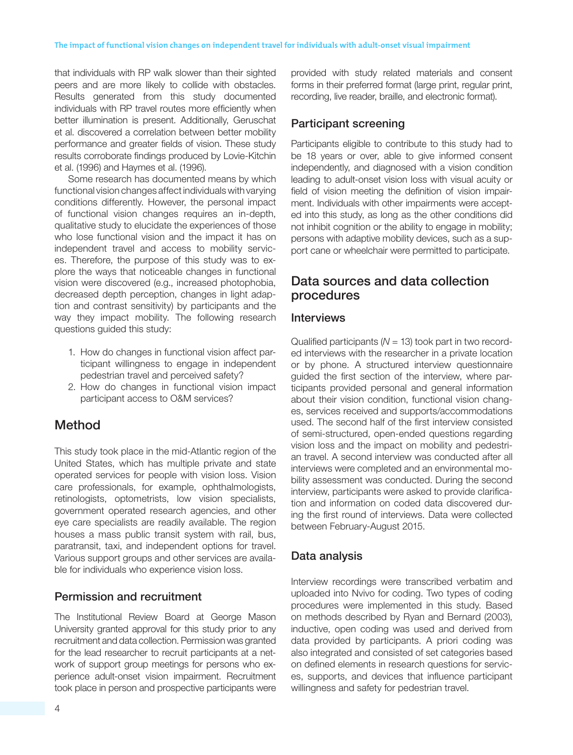that individuals with RP walk slower than their sighted peers and are more likely to collide with obstacles. Results generated from this study documented individuals with RP travel routes more efficiently when better illumination is present. Additionally, Geruschat et al. discovered a correlation between better mobility performance and greater fields of vision. These study results corroborate findings produced by Lovie-Kitchin et al. (1996) and Haymes et al. (1996).

Some research has documented means by which functional vision changes affect individuals with varying conditions differently. However, the personal impact of functional vision changes requires an in-depth, qualitative study to elucidate the experiences of those who lose functional vision and the impact it has on independent travel and access to mobility services. Therefore, the purpose of this study was to explore the ways that noticeable changes in functional vision were discovered (e.g., increased photophobia, decreased depth perception, changes in light adaption and contrast sensitivity) by participants and the way they impact mobility. The following research questions guided this study:

- 1. How do changes in functional vision affect participant willingness to engage in independent pedestrian travel and perceived safety?
- 2. How do changes in functional vision impact participant access to O&M services?

# Method

This study took place in the mid-Atlantic region of the United States, which has multiple private and state operated services for people with vision loss. Vision care professionals, for example, ophthalmologists, retinologists, optometrists, low vision specialists, government operated research agencies, and other eye care specialists are readily available. The region houses a mass public transit system with rail, bus, paratransit, taxi, and independent options for travel. Various support groups and other services are available for individuals who experience vision loss.

#### Permission and recruitment

The Institutional Review Board at George Mason University granted approval for this study prior to any recruitment and data collection. Permission was granted for the lead researcher to recruit participants at a network of support group meetings for persons who experience adult-onset vision impairment. Recruitment took place in person and prospective participants were provided with study related materials and consent forms in their preferred format (large print, regular print, recording, live reader, braille, and electronic format).

#### Participant screening

Participants eligible to contribute to this study had to be 18 years or over, able to give informed consent independently, and diagnosed with a vision condition leading to adult-onset vision loss with visual acuity or field of vision meeting the definition of vision impairment. Individuals with other impairments were accepted into this study, as long as the other conditions did not inhibit cognition or the ability to engage in mobility; persons with adaptive mobility devices, such as a support cane or wheelchair were permitted to participate.

# Data sources and data collection procedures

#### Interviews

Qualified participants (*N* = 13) took part in two recorded interviews with the researcher in a private location or by phone. A structured interview questionnaire guided the first section of the interview, where participants provided personal and general information about their vision condition, functional vision changes, services received and supports/accommodations used. The second half of the first interview consisted of semi-structured, open-ended questions regarding vision loss and the impact on mobility and pedestrian travel. A second interview was conducted after all interviews were completed and an environmental mobility assessment was conducted. During the second interview, participants were asked to provide clarification and information on coded data discovered during the first round of interviews. Data were collected between February-August 2015.

#### Data analysis

Interview recordings were transcribed verbatim and uploaded into Nvivo for coding. Two types of coding procedures were implemented in this study. Based on methods described by Ryan and Bernard (2003), inductive, open coding was used and derived from data provided by participants. A priori coding was also integrated and consisted of set categories based on defined elements in research questions for services, supports, and devices that influence participant willingness and safety for pedestrian travel.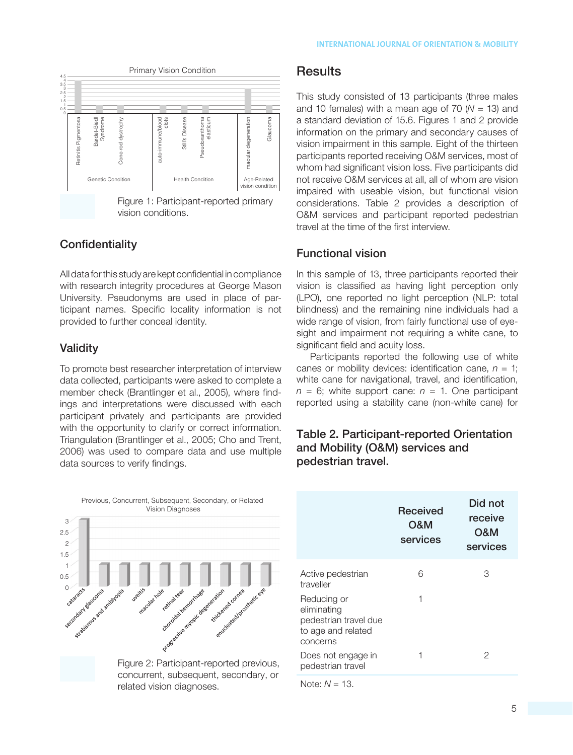

## **Confidentiality**

All data for this study are kept confidential in compliance with research integrity procedures at George Mason University. Pseudonyms are used in place of participant names. Specific locality information is not provided to further conceal identity.

#### **Validity**

To promote best researcher interpretation of interview data collected, participants were asked to complete a member check (Brantlinger et al., 2005), where findings and interpretations were discussed with each participant privately and participants are provided with the opportunity to clarify or correct information. Triangulation (Brantlinger et al., 2005; Cho and Trent, 2006) was used to compare data and use multiple data sources to verify findings.



concurrent, subsequent, secondary, or related vision diagnoses.

## **Results**

This study consisted of 13 participants (three males and 10 females) with a mean age of 70 (*N* = 13) and a standard deviation of 15.6. Figures 1 and 2 provide information on the primary and secondary causes of vision impairment in this sample. Eight of the thirteen participants reported receiving O&M services, most of whom had significant vision loss. Five participants did not receive O&M services at all, all of whom are vision impaired with useable vision, but functional vision considerations. Table 2 provides a description of O&M services and participant reported pedestrian travel at the time of the first interview.

## Functional vision

In this sample of 13, three participants reported their vision is classified as having light perception only (LPO), one reported no light perception (NLP: total blindness) and the remaining nine individuals had a wide range of vision, from fairly functional use of eyesight and impairment not requiring a white cane, to significant field and acuity loss.

Participants reported the following use of white canes or mobility devices: identification cane, *n* = 1; white cane for navigational, travel, and identification,  $n = 6$ ; white support cane:  $n = 1$ . One participant reported using a stability cane (non-white cane) for

## Table 2. Participant-reported Orientation and Mobility (O&M) services and pedestrian travel.

|                                                                                       | Received<br>O&M<br>services | Did not<br>receive<br>O&M<br>services |
|---------------------------------------------------------------------------------------|-----------------------------|---------------------------------------|
| Active pedestrian<br>traveller                                                        | 6                           | З                                     |
| Reducing or<br>eliminating<br>pedestrian travel due<br>to age and related<br>concerns | 1                           |                                       |
| Does not engage in<br>pedestrian travel                                               | 1                           | 2                                     |
|                                                                                       |                             |                                       |

Note: *N* = 13.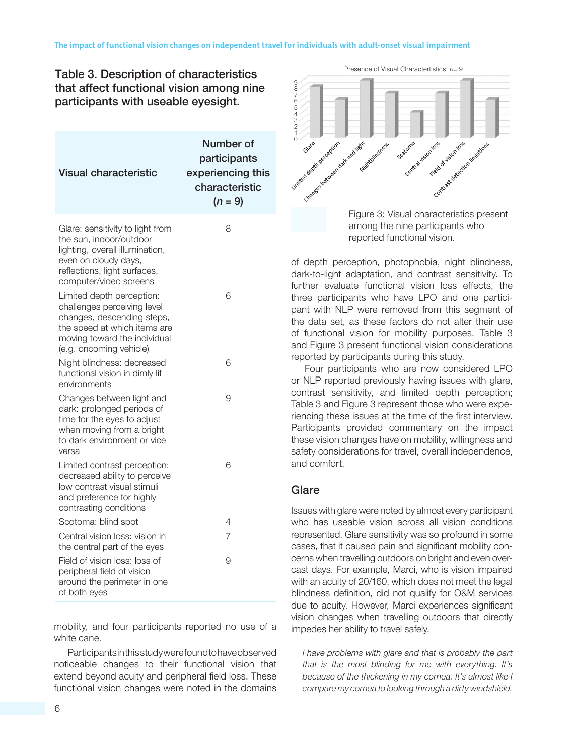Table 3. Description of characteristics **Presence of Visual Charactertistics**: *n*= 9 that affect functional vision among nine participants with useable eyesight.

| <b>Visual characteristic</b>                                                                                                                                                      | Number of<br>participants<br>experiencing this<br>characteristic<br>$(n = 9)$ |
|-----------------------------------------------------------------------------------------------------------------------------------------------------------------------------------|-------------------------------------------------------------------------------|
| Glare: sensitivity to light from<br>the sun, indoor/outdoor<br>lighting, overall illumination,<br>even on cloudy days,<br>reflections, light surfaces,<br>computer/video screens  | 8                                                                             |
| Limited depth perception:<br>challenges perceiving level<br>changes, descending steps,<br>the speed at which items are<br>moving toward the individual<br>(e.g. oncoming vehicle) | 6                                                                             |
| Night blindness: decreased<br>functional vision in dimly lit<br>environments                                                                                                      | 6                                                                             |
| Changes between light and<br>dark: prolonged periods of<br>time for the eyes to adjust<br>when moving from a bright<br>to dark environment or vice<br>versa                       | 9                                                                             |
| Limited contrast perception:<br>decreased ability to perceive<br>low contrast visual stimuli<br>and preference for highly<br>contrasting conditions                               | 6                                                                             |
| Scotoma: blind spot                                                                                                                                                               | 4                                                                             |
| Central vision loss: vision in<br>the central part of the eyes                                                                                                                    | 7                                                                             |
| Field of vision loss: loss of<br>peripheral field of vision<br>around the perimeter in one<br>of both eves                                                                        | 9                                                                             |

mobility, and four participants reported no use of a white cane.

Participants in this study were found to have observed noticeable changes to their functional vision that extend beyond acuity and peripheral field loss. These functional vision changes were noted in the domains



among the nine participants who reported functional vision.

of depth perception, photophobia, night blindness, dark-to-light adaptation, and contrast sensitivity. To further evaluate functional vision loss effects, the three participants who have LPO and one participant with NLP were removed from this segment of the data set, as these factors do not alter their use of functional vision for mobility purposes. Table 3 and Figure 3 present functional vision considerations reported by participants during this study.

Four participants who are now considered LPO or NLP reported previously having issues with glare, contrast sensitivity, and limited depth perception; Table 3 and Figure 3 represent those who were experiencing these issues at the time of the first interview. Participants provided commentary on the impact these vision changes have on mobility, willingness and safety considerations for travel, overall independence, and comfort.

#### Glare

Issues with glare were noted by almost every participant who has useable vision across all vision conditions represented. Glare sensitivity was so profound in some cases, that it caused pain and significant mobility concerns when travelling outdoors on bright and even overcast days. For example, Marci, who is vision impaired with an acuity of 20/160, which does not meet the legal blindness definition, did not qualify for O&M services due to acuity. However, Marci experiences significant vision changes when travelling outdoors that directly impedes her ability to travel safely.

*I have problems with glare and that is probably the part that is the most blinding for me with everything. It's because of the thickening in my cornea. It's almost like I compare my cornea to looking through a dirty windshield,*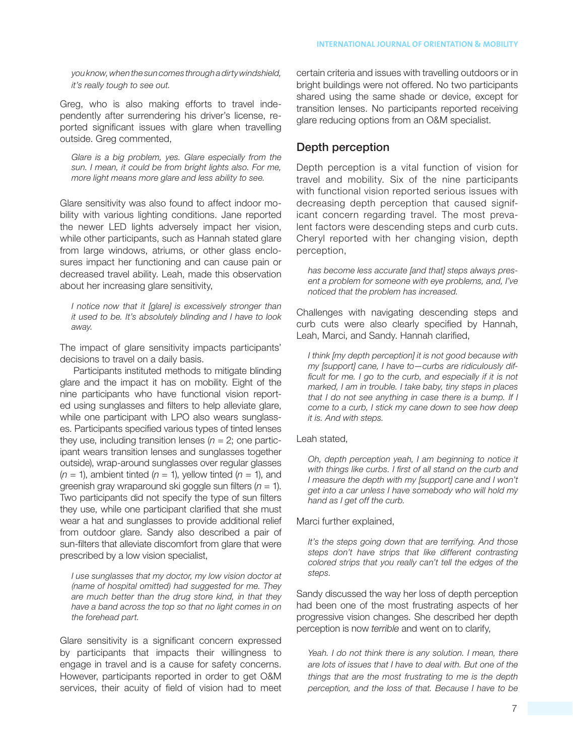*you know, when the sun comes through a dirty windshield, it's really tough to see out.*

Greg, who is also making efforts to travel independently after surrendering his driver's license, reported significant issues with glare when travelling outside. Greg commented,

*Glare is a big problem, yes. Glare especially from the sun. I mean, it could be from bright lights also. For me, more light means more glare and less ability to see.*

Glare sensitivity was also found to affect indoor mobility with various lighting conditions. Jane reported the newer LED lights adversely impact her vision, while other participants, such as Hannah stated glare from large windows, atriums, or other glass enclosures impact her functioning and can cause pain or decreased travel ability. Leah, made this observation about her increasing glare sensitivity,

*I notice now that it [glare] is excessively stronger than it used to be. It's absolutely blinding and I have to look away.*

The impact of glare sensitivity impacts participants' decisions to travel on a daily basis.

Participants instituted methods to mitigate blinding glare and the impact it has on mobility. Eight of the nine participants who have functional vision reported using sunglasses and filters to help alleviate glare, while one participant with LPO also wears sunglasses. Participants specified various types of tinted lenses they use, including transition lenses  $(n = 2)$ ; one participant wears transition lenses and sunglasses together outside), wrap-around sunglasses over regular glasses  $(n = 1)$ , ambient tinted  $(n = 1)$ , yellow tinted  $(n = 1)$ , and greenish gray wraparound ski goggle sun filters (*n* = 1). Two participants did not specify the type of sun filters they use, while one participant clarified that she must wear a hat and sunglasses to provide additional relief from outdoor glare. Sandy also described a pair of sun-filters that alleviate discomfort from glare that were prescribed by a low vision specialist,

*I use sunglasses that my doctor, my low vision doctor at (name of hospital omitted) had suggested for me. They are much better than the drug store kind, in that they have a band across the top so that no light comes in on the forehead part.*

Glare sensitivity is a significant concern expressed by participants that impacts their willingness to engage in travel and is a cause for safety concerns. However, participants reported in order to get O&M services, their acuity of field of vision had to meet certain criteria and issues with travelling outdoors or in bright buildings were not offered. No two participants shared using the same shade or device, except for transition lenses. No participants reported receiving glare reducing options from an O&M specialist.

#### Depth perception

Depth perception is a vital function of vision for travel and mobility. Six of the nine participants with functional vision reported serious issues with decreasing depth perception that caused significant concern regarding travel. The most prevalent factors were descending steps and curb cuts. Cheryl reported with her changing vision, depth perception,

*has become less accurate [and that] steps always present a problem for someone with eye problems, and, I've noticed that the problem has increased.*

Challenges with navigating descending steps and curb cuts were also clearly specified by Hannah, Leah, Marci, and Sandy. Hannah clarified,

*I think [my depth perception] it is not good because with my [support] cane, I have to—curbs are ridiculously difficult for me. I go to the curb, and especially if it is not marked, I am in trouble. I take baby, tiny steps in places that I do not see anything in case there is a bump. If I come to a curb, I stick my cane down to see how deep it is. And with steps.*

#### Leah stated,

*Oh, depth perception yeah, I am beginning to notice it with things like curbs. I first of all stand on the curb and I measure the depth with my [support] cane and I won't get into a car unless I have somebody who will hold my hand as I get off the curb.*

#### Marci further explained,

*It's the steps going down that are terrifying. And those steps don't have strips that like different contrasting colored strips that you really can't tell the edges of the steps.*

Sandy discussed the way her loss of depth perception had been one of the most frustrating aspects of her progressive vision changes. She described her depth perception is now *terrible* and went on to clarify,

*Yeah. I do not think there is any solution. I mean, there are lots of issues that I have to deal with. But one of the things that are the most frustrating to me is the depth perception, and the loss of that. Because I have to be*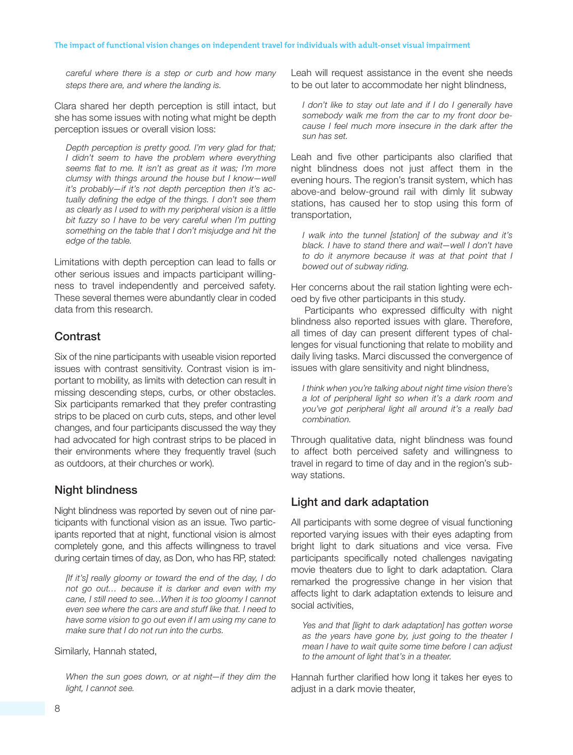*careful where there is a step or curb and how many steps there are, and where the landing is.*

Clara shared her depth perception is still intact, but she has some issues with noting what might be depth perception issues or overall vision loss:

*Depth perception is pretty good. I'm very glad for that; I didn't seem to have the problem where everything seems flat to me. It isn't as great as it was; I'm more clumsy with things around the house but I know—well it's probably—if it's not depth perception then it's actually defining the edge of the things. I don't see them as clearly as I used to with my peripheral vision is a little bit fuzzy so I have to be very careful when I'm putting something on the table that I don't misjudge and hit the edge of the table.*

Limitations with depth perception can lead to falls or other serious issues and impacts participant willingness to travel independently and perceived safety. These several themes were abundantly clear in coded data from this research.

#### **Contrast**

Six of the nine participants with useable vision reported issues with contrast sensitivity. Contrast vision is important to mobility, as limits with detection can result in missing descending steps, curbs, or other obstacles. Six participants remarked that they prefer contrasting strips to be placed on curb cuts, steps, and other level changes, and four participants discussed the way they had advocated for high contrast strips to be placed in their environments where they frequently travel (such as outdoors, at their churches or work).

#### Night blindness

Night blindness was reported by seven out of nine participants with functional vision as an issue. Two participants reported that at night, functional vision is almost completely gone, and this affects willingness to travel during certain times of day, as Don, who has RP, stated:

*[If it's] really gloomy or toward the end of the day, I do not go out… because it is darker and even with my cane, I still need to see…When it is too gloomy I cannot even see where the cars are and stuff like that. I need to have some vision to go out even if I am using my cane to make sure that I do not run into the curbs.*

Similarly, Hannah stated,

*When the sun goes down, or at night—if they dim the light, I cannot see.*

Leah will request assistance in the event she needs to be out later to accommodate her night blindness,

*I don't like to stay out late and if I do I generally have somebody walk me from the car to my front door because I feel much more insecure in the dark after the sun has set.*

Leah and five other participants also clarified that night blindness does not just affect them in the evening hours. The region's transit system, which has above-and below-ground rail with dimly lit subway stations, has caused her to stop using this form of transportation,

*I walk into the tunnel [station] of the subway and it's black. I have to stand there and wait—well I don't have to do it anymore because it was at that point that I bowed out of subway riding.*

Her concerns about the rail station lighting were echoed by five other participants in this study.

Participants who expressed difficulty with night blindness also reported issues with glare. Therefore, all times of day can present different types of challenges for visual functioning that relate to mobility and daily living tasks. Marci discussed the convergence of issues with glare sensitivity and night blindness,

*I think when you're talking about night time vision there's a lot of peripheral light so when it's a dark room and you've got peripheral light all around it's a really bad combination.*

Through qualitative data, night blindness was found to affect both perceived safety and willingness to travel in regard to time of day and in the region's subway stations.

#### Light and dark adaptation

All participants with some degree of visual functioning reported varying issues with their eyes adapting from bright light to dark situations and vice versa. Five participants specifically noted challenges navigating movie theaters due to light to dark adaptation. Clara remarked the progressive change in her vision that affects light to dark adaptation extends to leisure and social activities,

*Yes and that [light to dark adaptation] has gotten worse as the years have gone by, just going to the theater I mean I have to wait quite some time before I can adjust to the amount of light that's in a theater.*

Hannah further clarified how long it takes her eyes to adjust in a dark movie theater,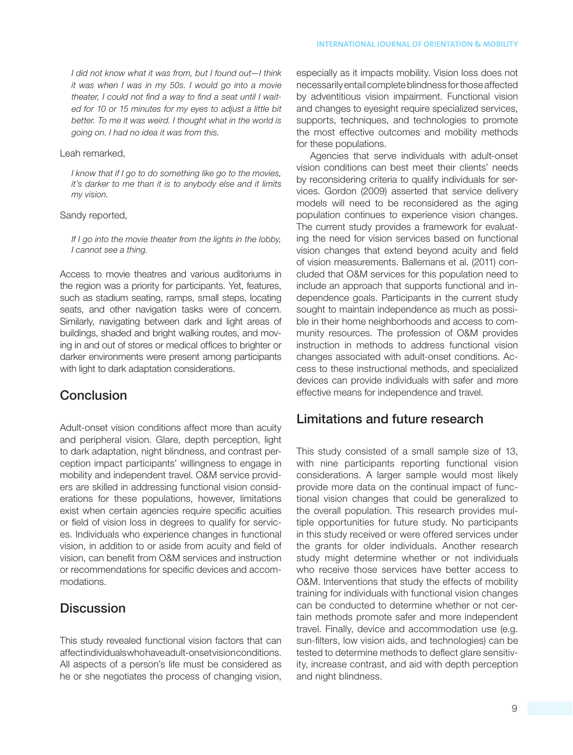*I did not know what it was from, but I found out—I think it was when I was in my 50s. I would go into a movie theater, I could not find a way to find a seat until I waited for 10 or 15 minutes for my eyes to adjust a little bit better. To me it was weird. I thought what in the world is going on. I had no idea it was from this.*

#### Leah remarked,

*I know that if I go to do something like go to the movies, it's darker to me than it is to anybody else and it limits my vision.*

#### Sandy reported,

*If I go into the movie theater from the lights in the lobby, I cannot see a thing.*

Access to movie theatres and various auditoriums in the region was a priority for participants. Yet, features, such as stadium seating, ramps, small steps, locating seats, and other navigation tasks were of concern. Similarly, navigating between dark and light areas of buildings, shaded and bright walking routes, and moving in and out of stores or medical offices to brighter or darker environments were present among participants with light to dark adaptation considerations.

# Conclusion

Adult-onset vision conditions affect more than acuity and peripheral vision. Glare, depth perception, light to dark adaptation, night blindness, and contrast perception impact participants' willingness to engage in mobility and independent travel. O&M service providers are skilled in addressing functional vision considerations for these populations, however, limitations exist when certain agencies require specific acuities or field of vision loss in degrees to qualify for services. Individuals who experience changes in functional vision, in addition to or aside from acuity and field of vision, can benefit from O&M services and instruction or recommendations for specific devices and accommodations.

# **Discussion**

This study revealed functional vision factors that can affectindividuals who have adult-onset vision conditions. All aspects of a person's life must be considered as he or she negotiates the process of changing vision, especially as it impacts mobility. Vision loss does not necessarily entail complete blindness for those affected by adventitious vision impairment. Functional vision and changes to eyesight require specialized services, supports, techniques, and technologies to promote the most effective outcomes and mobility methods for these populations.

Agencies that serve individuals with adult-onset vision conditions can best meet their clients' needs by reconsidering criteria to qualify individuals for services. Gordon (2009) asserted that service delivery models will need to be reconsidered as the aging population continues to experience vision changes. The current study provides a framework for evaluating the need for vision services based on functional vision changes that extend beyond acuity and field of vision measurements. Ballemans et al. (2011) concluded that O&M services for this population need to include an approach that supports functional and independence goals. Participants in the current study sought to maintain independence as much as possible in their home neighborhoods and access to community resources. The profession of O&M provides instruction in methods to address functional vision changes associated with adult-onset conditions. Access to these instructional methods, and specialized devices can provide individuals with safer and more effective means for independence and travel.

## Limitations and future research

This study consisted of a small sample size of 13, with nine participants reporting functional vision considerations. A larger sample would most likely provide more data on the continual impact of functional vision changes that could be generalized to the overall population. This research provides multiple opportunities for future study. No participants in this study received or were offered services under the grants for older individuals. Another research study might determine whether or not individuals who receive those services have better access to O&M. Interventions that study the effects of mobility training for individuals with functional vision changes can be conducted to determine whether or not certain methods promote safer and more independent travel. Finally, device and accommodation use (e.g. sun-filters, low vision aids, and technologies) can be tested to determine methods to deflect glare sensitivity, increase contrast, and aid with depth perception and night blindness.